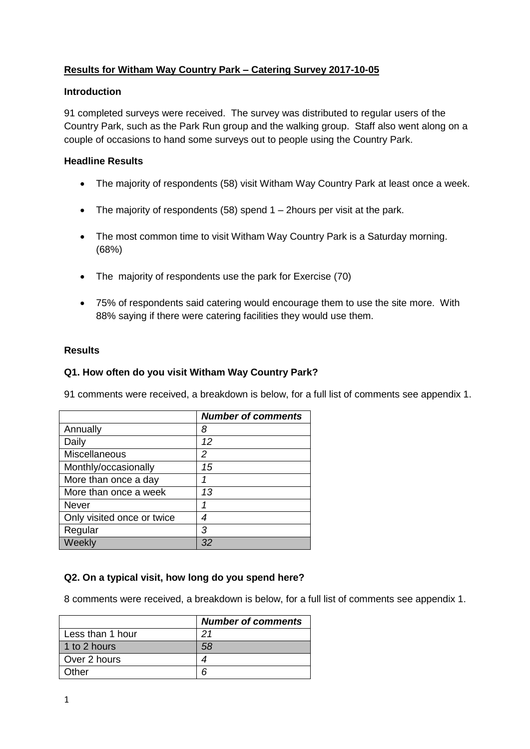# **Results for Witham Way Country Park – Catering Survey 2017-10-05**

### **Introduction**

91 completed surveys were received. The survey was distributed to regular users of the Country Park, such as the Park Run group and the walking group. Staff also went along on a couple of occasions to hand some surveys out to people using the Country Park.

## **Headline Results**

- The majority of respondents (58) visit Witham Way Country Park at least once a week.
- The majority of respondents  $(58)$  spend 1 2hours per visit at the park.
- The most common time to visit Witham Way Country Park is a Saturday morning. (68%)
- The majority of respondents use the park for Exercise (70)
- 75% of respondents said catering would encourage them to use the site more. With 88% saying if there were catering facilities they would use them.

## **Results**

# **Q1. How often do you visit Witham Way Country Park?**

91 comments were received, a breakdown is below, for a full list of comments see appendix 1.

|                            | <b>Number of comments</b> |
|----------------------------|---------------------------|
| Annually                   | 8                         |
| Daily                      | 12                        |
| Miscellaneous              | 2                         |
| Monthly/occasionally       | 15                        |
| More than once a day       |                           |
| More than once a week      | 13                        |
| <b>Never</b>               |                           |
| Only visited once or twice | 4                         |
| Regular                    | 3                         |
| Weekly                     | 32                        |

# **Q2. On a typical visit, how long do you spend here?**

8 comments were received, a breakdown is below, for a full list of comments see appendix 1.

|                  | <b>Number of comments</b> |
|------------------|---------------------------|
| Less than 1 hour | 21                        |
| 1 to 2 hours     | 58                        |
| Over 2 hours     |                           |
| Other            |                           |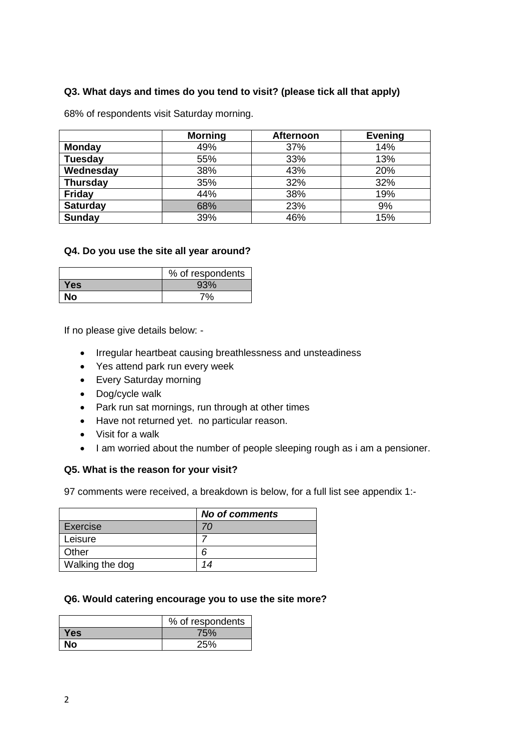# **Q3. What days and times do you tend to visit? (please tick all that apply)**

68% of respondents visit Saturday morning.

|                 | <b>Morning</b> | <b>Afternoon</b> | <b>Evening</b> |
|-----------------|----------------|------------------|----------------|
| <b>Monday</b>   | 49%            | 37%              | 14%            |
| <b>Tuesday</b>  | 55%            | 33%              | 13%            |
| Wednesday       | 38%            | 43%              | 20%            |
| <b>Thursday</b> | 35%            | 32%              | 32%            |
| <b>Friday</b>   | 44%            | 38%              | 19%            |
| <b>Saturday</b> | 68%            | 23%              | 9%             |
| <b>Sunday</b>   | 39%            | 46%              | 15%            |

#### **Q4. Do you use the site all year around?**

|      | % of respondents |
|------|------------------|
| Yes  | 93%              |
| No l | 7%               |

If no please give details below: -

- Irregular heartbeat causing breathlessness and unsteadiness
- Yes attend park run every week
- Every Saturday morning
- Dog/cycle walk
- Park run sat mornings, run through at other times
- Have not returned yet. no particular reason.
- Visit for a walk
- I am worried about the number of people sleeping rough as i am a pensioner.

### **Q5. What is the reason for your visit?**

97 comments were received, a breakdown is below, for a full list see appendix 1:-

|                 | <b>No of comments</b> |
|-----------------|-----------------------|
| Exercise        | 70                    |
| Leisure         |                       |
| Other           | 6                     |
| Walking the dog | 14                    |

## **Q6. Would catering encourage you to use the site more?**

|            | % of respondents |
|------------|------------------|
| <b>Yes</b> | 75%              |
| No         | 25%              |